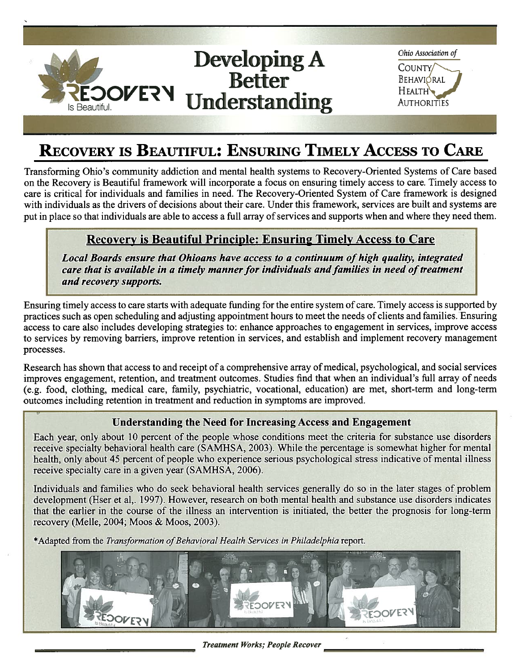

# RECOVERY IS BEAUTIFUL: ENSURING TIMELY ACCESS TO CARE

Transforming Ohio's community addiction and mental health systems to Recovery-Oriented Systems of Care based on the Recovery is Beautiful framework will incorporate <sup>a</sup> focus on ensuring timely access to care. Timely access to care is critical for individuals and families in need. The Recovery-Oriented System of Care framework is designed with individuals as the drivers of decisions about their care. Under this framework, services are built and systems are put in place so that individuals are able to access a full array of services and supports when and where they need them.

## Recovery is Beautiful Principle: Ensuring Timely Access to Care

Local Boards ensure that Ohioans have access to a continuum of high quality, integrated care that is available in a timely manner for individuals and families in need of treatment and recovery supports.

Ensuring timely access to care starts with adequate funding for the entire system of care. Timely access is supported by practices such as open scheduling and adjusting appointment hours to meet the needs of clients and families. Ensuring access to care also includes developing strategies to: enhance approaches to engagemen<sup>t</sup> in services, improve access to services by removing barriers, improve retention in services, and establish and implement recovery managemen<sup>t</sup> processes.

Research has shown that access to and receipt of a comprehensive array of medical, psychological, and social services improves engagement, retention, and treatment outcomes. Studies find that when an individual's full array of needs (e.g. food, clothing, medical care, family, psychiatric, vocational, education) are met, short-term and long-term outcomes including retention in treatment and reduction in symptoms are improved.

#### Understanding the Need for Increasing Access and Engagement

Each year, only about 10 percen<sup>t</sup> of the people whose conditions meet the criteria for substance use disorders receive specialty behavioral health care (SAMHSA, 2003). While the percentage is somewhat higher for mental health, only about <sup>45</sup> percen<sup>t</sup> of people who experience serious psychological stress indicative of mental illness receive specialty care in a given year (SAMHSA, 2006).

Individuals and families who do seek behavioral health services generally do so in the later stages of problem development (Hser et al,. 1997). However, research on both mental health and substance use disorders indicates that the earlier in the course of the illness an intervention is initiated, the better the prognosis for long-term recovery (Melle, 2004; Moos & Moos, 2003).

\*Adapted from the Transformation of Behavioral Health Services in Philadelphia report.